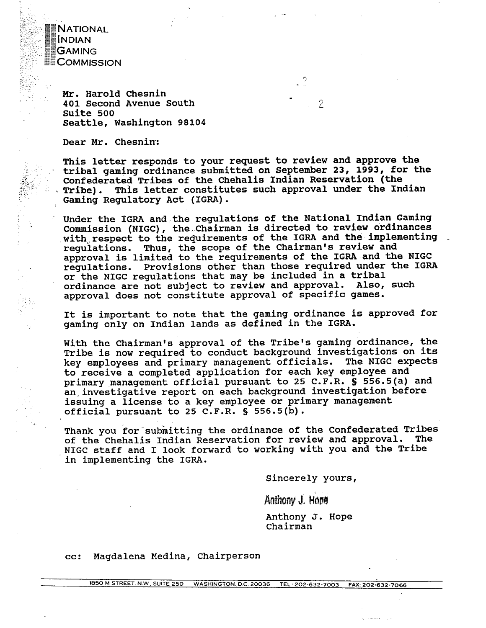NATIONAL **ECOMMISSION** 

. . , ... . .-';:,. .. . >\_ .,: **d.** 

 $\frac{1}{2}$ 

 $Mr.$  Harold Chesnin **401 Second Avenue South suite 500 Seattle, Washington 98104** 

**Dear Mr. Chesnin:** 

**This letter responds to your request to review and approve the**  tribal gaming ordinance submitted on September 23, 1993, for the Confederated Tribes of the Chehalis Indian Reservation (the Tribe). This letter constitutes such approval under the Indian **Gaming Regulatory Act (IGRA).** 

 $\mathcal{P}$ 

 $\hat{z}$ 

**Under the IGRA and,the regulations of the National Indian Gaming Commission (NIGC), the chairman is directed to review ordinances**  with respect to the requirements of the IGRA and the implementing **regulations. Thus, the scope of the Chairman's review and approval is limited to the requirements of the IGRA and the NIGC regulations. Provisions other than those required under the IGRA or the NIGC regulations that may be included in a tribal**  ordinance are not subject to review and approval. **approval does not constitute approval of specific games.** 

**It is important to note that the gaming ordinance is approved for gaming only on Indian lands as defined in the IGRA.** 

**With the Chairman's approval of the Tribe's gaming ordinance, the Tribe is now required to conduct background investigations on its key employees and primary management officials. The NIGC expects to receive a completed application for each key employee and primary management official pursuant to 25 C.F.R. S 556.5(a) and an,investigative report on each background investigation before issuing a license to a key employee or primary management official pursuant to 25 C.F.R. S 556.5(b).** 

Thank you for submitting the ordinance of the Confederated Tribes of the Chehalis Indian Reservation for review and approval. The **NIGC staff and I look forward to working with you and the Tribe in implementing the IGRA.** 

**Sincerely yours,** 

Anthony J. Hope

**Anthony J. Hope chairman** 

**cc: Magdalena Medina, chairperson**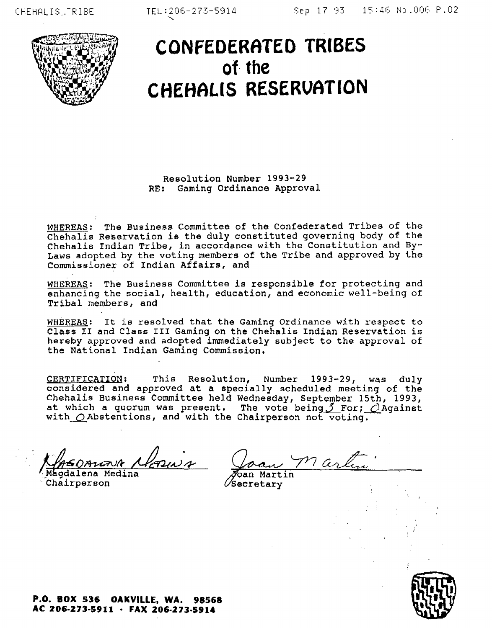

## **CONFEDERhTED TRIBES of the CHEHRLIS RESERVATION**

Resolution Number 1993-29 RE: Gaming Ordinance Approval

WHEREAS: The Business Committee of the Confederated Tribes of the Chehalis Reservation is the duly constituted governing body of the Chehalis Indian Tribe, in accordance with the Constitution and **By-**Laws adopted by the voting members of the Tribe and approved by the Commiseionex **of** Indian Affairs, and

**WHEREAS:** The Business Committee is responsible for protecting and enhancing the social, health, education, and economic well-being of Tribal members, and

WHEREAS: It ie resolved that the Gaming Ordinance with respect to Class **I1** and Claes **I11** Gaming on the Chehalis Indian Reservation is hereby approved and adopted immediately subject to the approval of the National Indian Gaming Commission,

CERTIFICATION: This Resolution, **Numbex** 1993-29, was duly considered and approved at a specially scheduled meeting of the Chehalis Business Committee held Wednesday, September 15th, 1993, at which a quorum was present. The vote being 3 For; *Q*Against with  $\bigcirc$  Abstentions, and with the Chairperson not voting,

**OBUZUA Alonus** Joan M1 are Magdalena Medina

Chairperson

 $\mathscr{O}$ Secretary

**P.O. BOX 536 OAKVILLE, WA. 98568**  AC 206-273-5911 · FAX 206-273-5914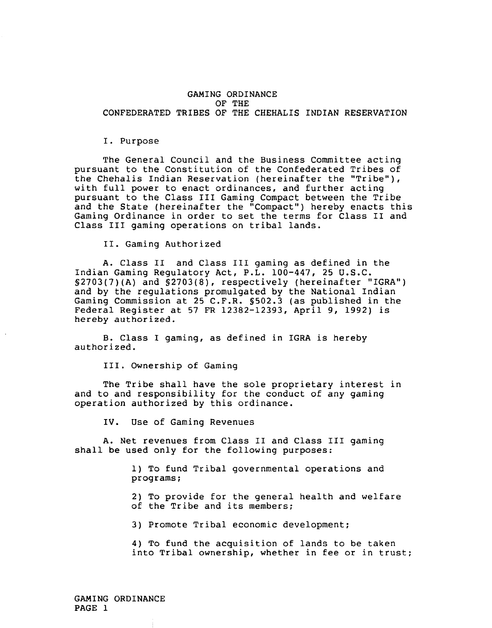## GAMING ORDINANCE OF THE CONFEDERATED TRIBES OF THE CHEHALIS INDIAN RESERVATION

## I. Purpose

The General Council and the Business Committee acting pursuant to the Constitution of the Confederated Tribes of the Chehalis Indian Reservation (hereinafter the "Tribe"), with full power to enact ordinances, and further acting pursuant to the Class I11 Gaming Compact between the Tribe and the State (hereinafter the "Compact") hereby enacts this Gaming Ordinance in order to set the terms for Class I1 and Class I11 gaming operations on tribal lands.

11. Gaming Authorized

A. Class I1 and Class I11 gaming as defined in the Indian Gaming Regulatory Act, P.L. 100-447, 25 U.S.C. §2703(7)(A) and §2703(8), respectively (hereinafter "IGRA") and by the regulations promulgated by the National Indian Gaming Commission at 25 C.F.R. S502.3 (as published in the Federal Register at 57 FR 12382-12393, April 9, 1992) is hereby authorized.

B. Class I gaming, as defined in IGRA is hereby authorized.

111. Ownership of Gaming

The Tribe shall have the sole proprietary interest in and to and responsibility for the conduct of any gaming operation authorized by this ordinance.

IV. Use of Gaming Revenues

A. Net revenues from Class I1 and Class I11 gaming shall be used only for the following purposes:

> 1) To fund Tribal governmental operations and programs;

2) To provide for the general health and welfare of the Tribe and its members;

3) Promote Tribal economic development;

4) To fund the acquisition of lands to be taken into Tribal ownership, whether in fee or in trust: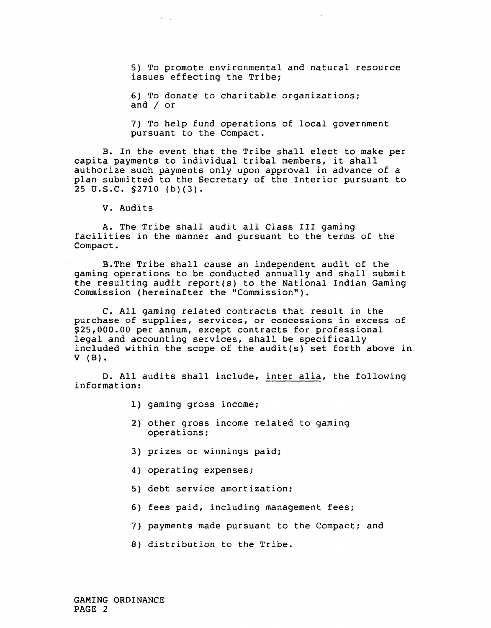5) To promote environmental and natural resource issues effecting the Tribe;

6) To donate to charitable organizations; and / or

7) To help fund operations of local government pursuant to the Compact.

B. In the event that the Tribe shall elect to make per capita payments to individual tribal members, it shall authorize such payments only upon approval in advance of a plan submitted to the Secretary of the Interior pursuant to 25 U.S.C. S2710 (b)(3).

V. Audits

A. The Tribe shall audit all Class **I11** gaming facilities in the manner and pursuant to the terms of the Compact .

B.The Tribe shall cause an independent audit of the gaming operations to be conducted annually and shall submit the resulting audit report(s) to the National Indian Gaming Commission (hereinafter the "Commission").

C. All gaming related contracts that result in the purchase of supplies, services, or concessions in excess of \$25,000.00 per annum, except contracts for professional legal and accounting services, shall be specifically included within the scope of the audit(s) set forth above in v (B).

D. All audits shall include, inter alia, the following information:

- 1) gaming gross income;
- 2) other gross income related to gaming operations;
- 3) prizes or winnings paid;
- 4) operating expenses;
- 5) debt service amortization;
- 6) fees paid, including management fees;
- 7) payments made pursuant to the Compact; and
- 8) distribution to the Tribe.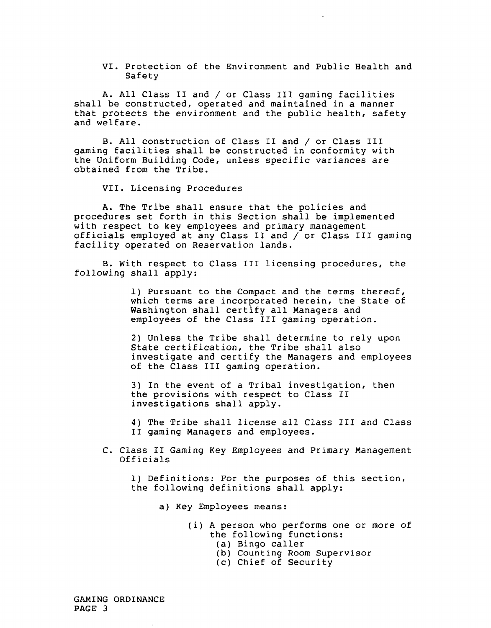VI. Protection of the Environment and Public Health and Safety

A. All Class I1 and / or Class I11 gaming facilities shall be constructed, operated and maintained in a manner that protects the environment and the public health, safety and welfare.

B. All construction of Class I1 and / or Class 111 gaming facilities shall be constructed in conformity with the Uniform Building Code, unless specific variances are obtained from the Tribe.

VII. Licensing Procedures

A. The Tribe shall ensure that the policies and procedures set forth in this Section shall be implemented with respect to key employees and primary management officials employed at any Class I1 and / or Class I11 gaming facility operated on Reservation lands.

B. With respect to Class I11 licensing procedures, the following shall apply:

> 1) Pursuant to the Compact and the terms thereof, which terms are incorporated herein, the State of Washington shall certify all Managers and employees of the Class I11 gaming operation.

2) Unless the Tribe shall determine to rely upon State certification, the Tribe shall also investigate and certify the Managers and employees of the Class I11 gaming operation.

3) In the event of a Tribal investigation, then the provisions with respect to Class I1 investigations shall apply.

4) The Tribe shall license all Class I11 and Class I1 gaming Managers and employees.

C. Class I1 Gaming Key Employees and Primary Management Officials

1) Definitions: For the purposes of this section, the following definitions shall apply:

a) Key Employees means:

- (i) A person who performs one or more of the following functions:
	- (a) Bingo caller
	- (b) Counting Room Supervisor
	- (c) Chief of Security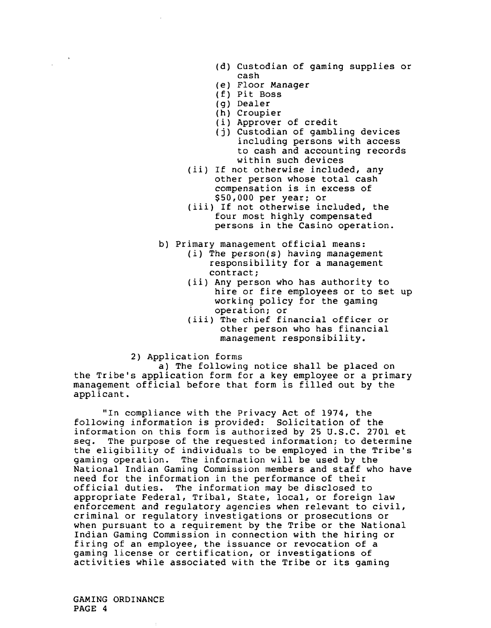- (d) Custodian of gaming supplies or cash
- (e) Floor Manager
- (f) Pit Boss
- (g) Dealer
- (h) Croupier
- (i) Approver of credit
- **(j)** Custodian of gambling devices including persons with access to cash and accounting records within such devices
- (ii) If not otherwise included, any other person whose total cash compensation is in excess of \$50,000 per year; or
- (iii) If not otherwise included, the four most highly compensated persons in the Casino operation.
- b) Primary management official means:
	- (i) The person(s) having management responsibility for a management contract;
	- (ii) Any person who has authority to hire or fire employees or to set up working policy for the gaming operation; or
	- (iii) The chief financial officer or other person who has financial management responsibility.

2) Application forms

a) The following notice shall be placed on the Tribe's application form for a key employee or a primary management official before that form is filled out by the applicant.

"In compliance with the Privacy Act of 1974, the following information is provided: Solicitation of the information on this form is authorized by 25 U.S.C. 2701 et<br>seq. The purpose of the requested information; to determine The purpose of the requested information; to determine the eligibility of individuals to be employed in the Tribe's gaming operation. The information will be used by the National Indian Gaming Commission members and staff who have need for the information in the performance of their official duties. The information may be disclosed to appropriate Federal, Tribal, State, local, or foreign law enforcement and regulatory agencies when relevant to civil, criminal or regulatory investigations or prosecutions or when pursuant to a requirement by the Tribe or the National Indian Gaming Commission in connection with the hiring or firing of an employee, the issuance or revocation of a gaming license or certification, or investigations of activities while associated with the Tribe or its gaming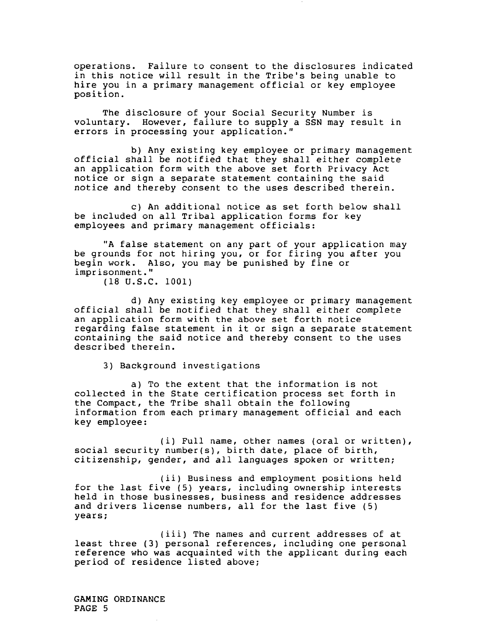operations. Failure to consent to the disclosures indicated in this notice will result in the Tribe's being unable to hire you in a primary management official or key employee position.

The disclosure of your Social Security Number is voluntary. However, failure to supply a SSN may result in errors in processing your application."

b) Any existing key employee or primary management official shall be notified that they shall either complete an application form with the above set forth Privacy Act notice or sign a separate statement containing the said notice and thereby consent to the uses described therein.

c) An additional notice as set forth below shall be included on all Tribal application forms for key employees and primary management officials:

"A false statement on any part of your application may be grounds for not hiring you, or for firing you after you begin work. Also, you may be punished by fine or imprisonment."

(18 U.S.C. 1001)

d) Any existing key employee or primary management official shall be notified that they shall either complete an application form with the above set forth notice regarding false statement in it or sign a separate statement containing the said notice and thereby consent to the uses described therein.

3) Background investigations

a) To the extent that the information is not collected in the State certification process set forth in the Compact, the Tribe shall obtain the following information from each primary management official and each key employee:

(i) Full name, other names (oral or written), social security number(s), birth date, place of birth, citizenship, gender, and all languages spoken or written;

(ii) Eusiness and employment positions held for the last five (5) years, including ownership interests held in those businesses, business and residence addresses and drivers license numbers, all for the last five (5) years;

(iii) The names and current addresses of at least three (3) personal references, including one personal reference who was acquainted with the applicant during each period of residence listed above;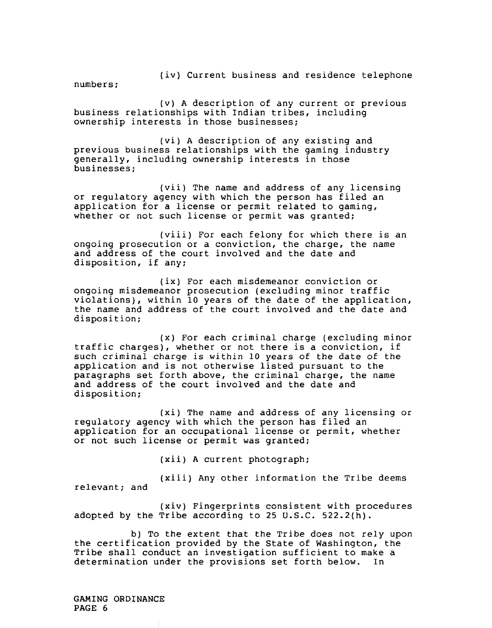(iv) Current business and residence telephone

numbers;

(v) **A** description of any current or previous business relationships with Indian tribes, including ownership interests in those businesses;

(vi) A description of any existing and previous business relationships with the gaming industry generally, including ownership interests in those businesses;

(vii) The name and address of any licensing or regulatory agency with which the person has filed an application for a license or permit related to gaming, whether or not such license or permit was granted;

(viii) For each felony for which there is an ongoing prosecution or a conviction, the charge, the name and address of the court involved and the date and disposition, if any;

(ix) For each misdemeanor conviction or ongoing misdemeanor prosecution (excluding minor traffic violations), within 10 years of the date of the application, the name and address of the court involved and the date and disposition;

(x) For each criminal charge (excluding minor traffic charges), whether or not there is a conviction, if such criminal charge is within 10 years of the date of the application and is not otherwise listed pursuant to the paragraphs set forth above, the criminal charge, the name and address of the court involved and the date and disposition;

(xi) The name and address of any licensing or regulatory agency with which the person has filed an application for an occupational license or permit, whether or not such license or permit was granted;

(xii) A current photograph;

(xiii) Any other information the Tribe deems relevant; and

(xiv) Fingerprints consistent with procedures adopted by the Tribe according to 25 U.S.C. 522.2(h).

b) To the extent that the Tribe does not rely upon the certification provided by the State of Washington, the Tribe shall conduct an investigation sufficient to make a determination under the provisions set forth below. In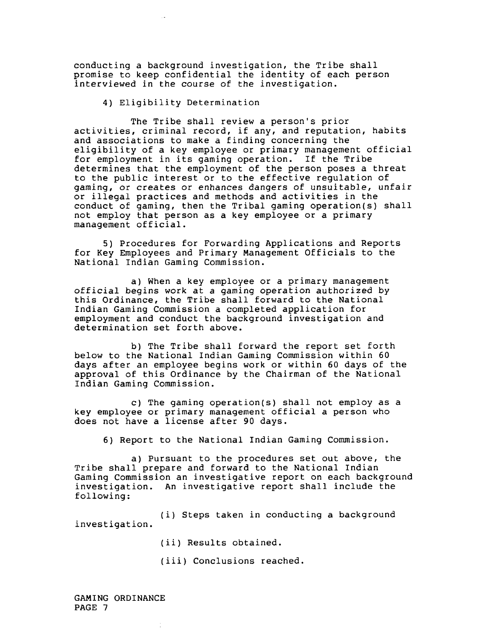conducting a background investigation, the Tribe shall promise to keep confidential the identity of each person interviewed in the course of the investigation.

4) Eligibility Determination

The Tribe shall review a person's prior activities, criminal record, if any, and reputation, habits and associations to make a finding concerning the eligibility of a key employee or primary management official for employment in its gaming operation. If the Tribe determines that the employment of the person poses a threat to the public interest or to the effective regulation of gaming, or creates or enhances dangers of unsuitable, unfair or illegal practices and methods and activities in the conduct of gaming, then the Tribal gaming operation(s) shall not employ that person as a key employee or a primary management official.

5) Procedures for Forwarding Applications and Reports for Key Employees and Primary Management Officials to the National Indian Gaming Commission.

a) When a key employee or a primary management official begins work at a gaming operation authorized by this Ordinance, the Tribe shall forward to the National Indian Gaming Commission a completed application for employment and conduct the background investigation and determination set forth above.

b) The Tribe shall forward the report set forth below to the National Indian Gaming Commission within 60 days after an employee begins work or within 60 days of the approval of this Ordinance by the Chairman of the National Indian Gaming Commission.

c) The gaming operation(s) shall not employ as a key employee or primary management official a person who does not have a license after 90 days.

6) Report to the National Indian Gaming Commission.

a) Pursuant to the procedures set out above, the Tribe shall prepare and forward to the National Indian Gaming Commission an investigative report on each background investigation. An investigative report shall include the following:

(i) Steps taken in conducting a background investigation.

- (ii) Results obtained.
- (iii) Conclusions reached.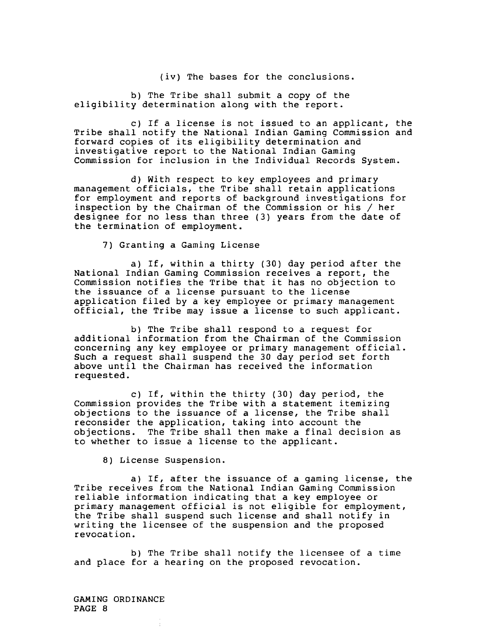(iv) The bases for the conclusions.

b) The Tribe shall submit a copy of the eligibility determination along with the report.

c) If a license is not issued to an applicant, the Tribe shall notify the National Indian Gaming Commission and forward copies of its eligibility determination and investigative report to the National Indian Gaming Commission for inclusion in the Individual Records System.

d) With respect to key employees and primary management officials, the Tribe shall retain applications for employment and reports of background investigations for inspection by the Chairman of the Commission or his / her designee for no less than three (3) years from the date of the termination of employment.

7) Granting a Gaming License

a) If, within a thirty (30) day period after the National Indian Gaming Commission receives a report, the Commission notifies the Tribe that it has no objection to the issuance of a license pursuant to the license application filed by a key employee or primary management official, the Tribe may issue a license to such applicant.

b) The Tribe shall respond to a request for additional information from the Chairman of the Commission concerning any key employee or primary management official. Such a request shall suspend the 30 day period set forth above until the Chairman has received the information requested.

c) If, within the thirty (30) day period, the Commission provides the Tribe with a statement itemizing objections to the issuance of a license, the Tribe shall reconsider the application, taking into account the objections. The Tribe shall then make a final decision as to whether to issue a license to the applicant.

8) License Suspension.

a) If, after the issuance of a gaming license, the Tribe receives from the National Indian Gaming Commission reliable information indicating that a key employee or primary management official is not eligible for employment, the Tribe shall suspend such license and shall notify in writing the licensee of the suspension and the proposed revocation.

b) The Tribe shall notify the licensee of a time and place for a hearing on the proposed revocation.